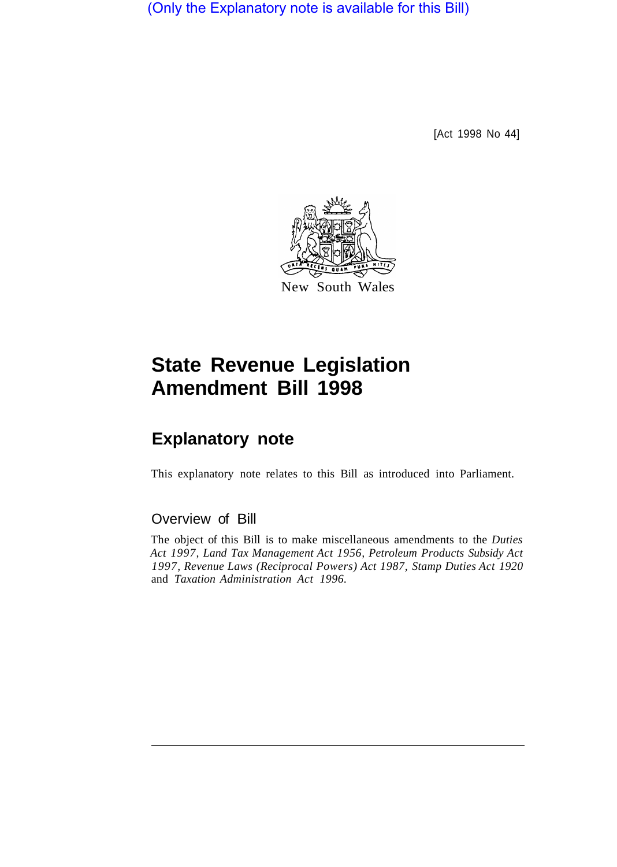(Only the Explanatory note is available for this Bill)

[Act 1998 No 44]



# **State Revenue Legislation Amendment Bill 1998**

## **Explanatory note**

This explanatory note relates to this Bill as introduced into Parliament.

## Overview of Bill

The object of this Bill is to make miscellaneous amendments to the *Duties Act 1997, Land Tax Management Act 1956, Petroleum Products Subsidy Act 1997, Revenue Laws (Reciprocal Powers) Act 1987, Stamp Duties Act 1920*  and *Taxation Administration Act 1996.*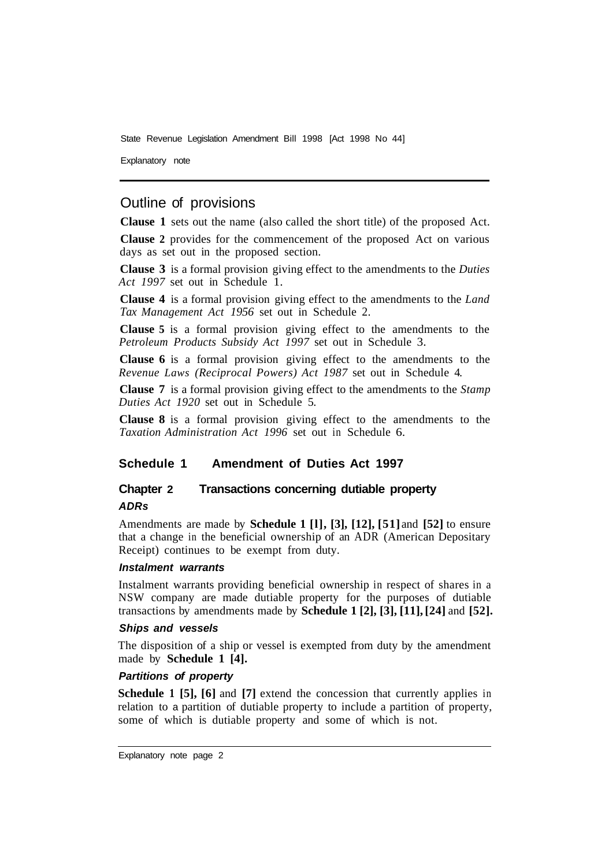Explanatory note

## Outline of provisions

**Clause 1** sets out the name (also called the short title) of the proposed Act.

**Clause 2** provides for the commencement of the proposed Act on various days as set out in the proposed section.

**Clause 3** is a formal provision giving effect to the amendments to the *Duties Act 1997* set out in Schedule 1.

**Clause 4** is a formal provision giving effect to the amendments to the *Land Tax Management Act 1956* set out in Schedule 2.

**Clause 5** is a formal provision giving effect to the amendments to the *Petroleum Products Subsidy Act 1997* set out in Schedule 3.

**Clause 6** is a formal provision giving effect to the amendments to the *Revenue Laws (Reciprocal Powers) Act 1987* set out in Schedule 4.

**Clause 7** is a formal provision giving effect to the amendments to the *Stamp Duties Act 1920* set out in Schedule 5.

**Clause 8** is a formal provision giving effect to the amendments to the *Taxation Administration Act 1996* set out in Schedule 6.

## **Schedule 1 Amendment of Duties Act 1997**

## **Chapter 2 Transactions concerning dutiable property**  *ADRs*

Amendments are made by **Schedule 1 [l], [3], [12], [51]** and **[52]** to ensure that a change in the beneficial ownership of an ADR (American Depositary Receipt) continues to be exempt from duty.

#### *Instalment warrants*

Instalment warrants providing beneficial ownership in respect of shares in a NSW company are made dutiable property for the purposes of dutiable transactions by amendments made by **Schedule 1 [2], [3], [11], [24]** and **[52].** 

#### *Ships and vessels*

The disposition of a ship or vessel is exempted from duty by the amendment made by **Schedule 1 [4].** 

#### *Partitions of property*

**Schedule 1 [5], [6] and [7] extend the concession that currently applies in** relation to a partition of dutiable property to include a partition of property, some of which is dutiable property and some of which is not.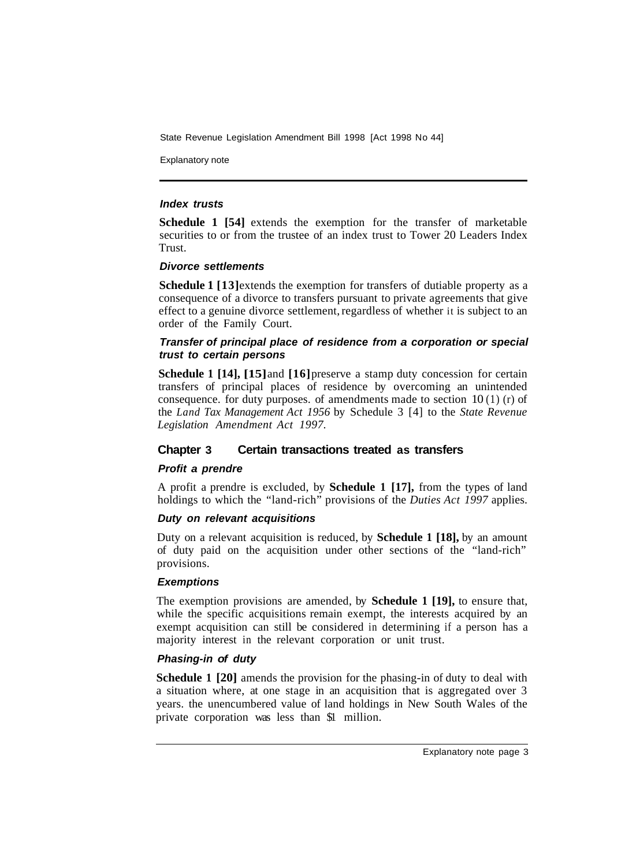Explanatory note

#### *Index trusts*

**Schedule 1 [54]** extends the exemption for the transfer of marketable securities to or from the trustee of an index trust to Tower 20 Leaders Index Trust.

#### *Divorce settlements*

**Schedule 1** [13] extends the exemption for transfers of dutiable property as a consequence of a divorce to transfers pursuant to private agreements that give effect to a genuine divorce settlement, regardless of whether it is subject to an order of the Family Court.

#### *Transfer of principal place of residence from a corporation or special trust to certain persons*

**Schedule 1 [14], [15] and [16] preserve a stamp duty concession for certain** transfers of principal places of residence by overcoming an unintended consequence. for duty purposes. of amendments made to section  $10(1)$  (r) of the *Land Tax Management Act 1956* by Schedule 3 [4] to the *State Revenue Legislation Amendment Act 1997.* 

## **Chapter 3 Certain transactions treated as transfers**

#### *Profit a prendre*

A profit a prendre is excluded, by **Schedule 1 [17],** from the types of land holdings to which the "land-rich" provisions of the *Duties Act 1997* applies.

#### *Duty on relevant acquisitions*

Duty on a relevant acquisition is reduced, by **Schedule 1 [18],** by an amount of duty paid on the acquisition under other sections of the "land-rich" provisions.

#### *Exemptions*

The exemption provisions are amended, by **Schedule 1 [19],** to ensure that, while the specific acquisitions remain exempt, the interests acquired by an exempt acquisition can still be considered in determining if a person has a majority interest in the relevant corporation or unit trust.

## *Phasing-in of duty*

**Schedule 1 [20]** amends the provision for the phasing-in of duty to deal with a situation where, at one stage in an acquisition that is aggregated over 3 years. the unencumbered value of land holdings in New South Wales of the private corporation was less than \$1 million.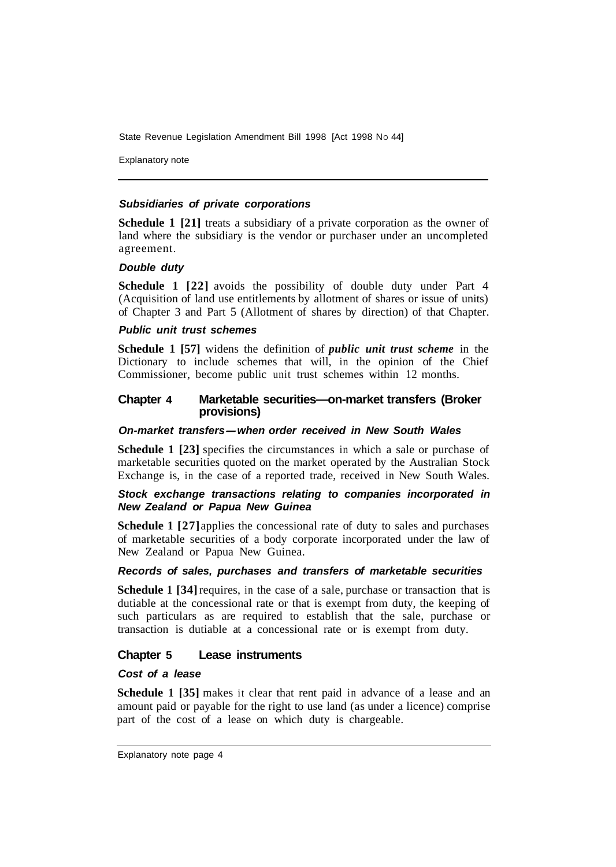Explanatory note

#### *Subsidiaries of private corporations*

**Schedule 1 [21]** treats a subsidiary of a private corporation as the owner of land where the subsidiary is the vendor or purchaser under an uncompleted agreement.

#### *Double duty*

**Schedule 1 [22]** avoids the possibility of double duty under Part 4 (Acquisition of land use entitlements by allotment of shares or issue of units) of Chapter 3 and Part 5 (Allotment of shares by direction) of that Chapter.

#### *Public unit trust schemes*

**Schedule 1 [57]** widens the definition of *public unit trust scheme* in the Dictionary to include schemes that will, in the opinion of the Chief Commissioner, become public unit trust schemes within 12 months.

#### **Chapter 4 Marketable securities—on-market transfers (Broker provisions)**

#### *On-market transfers-when order received in New South Wales*

**Schedule 1 [23]** specifies the circumstances in which a sale or purchase of marketable securities quoted on the market operated by the Australian Stock Exchange is, in the case of a reported trade, received in New South Wales.

#### *Stock exchange transactions relating to companies incorporated in New Zealand or Papua New Guinea*

**Schedule 1 [27]** applies the concessional rate of duty to sales and purchases of marketable securities of a body corporate incorporated under the law of New Zealand or Papua New Guinea.

## *Records of sales, purchases and transfers of marketable securities*

**Schedule 1 [34] requires, in the case of a sale, purchase or transaction that is** dutiable at the concessional rate or that is exempt from duty, the keeping of such particulars as are required to establish that the sale, purchase or transaction is dutiable at a concessional rate or is exempt from duty.

#### **Chapter 5 Lease instruments**

#### *Cost of a lease*

**Schedule 1 [35]** makes it clear that rent paid in advance of a lease and an amount paid or payable for the right to use land (as under a licence) comprise part of the cost of a lease on which duty is chargeable.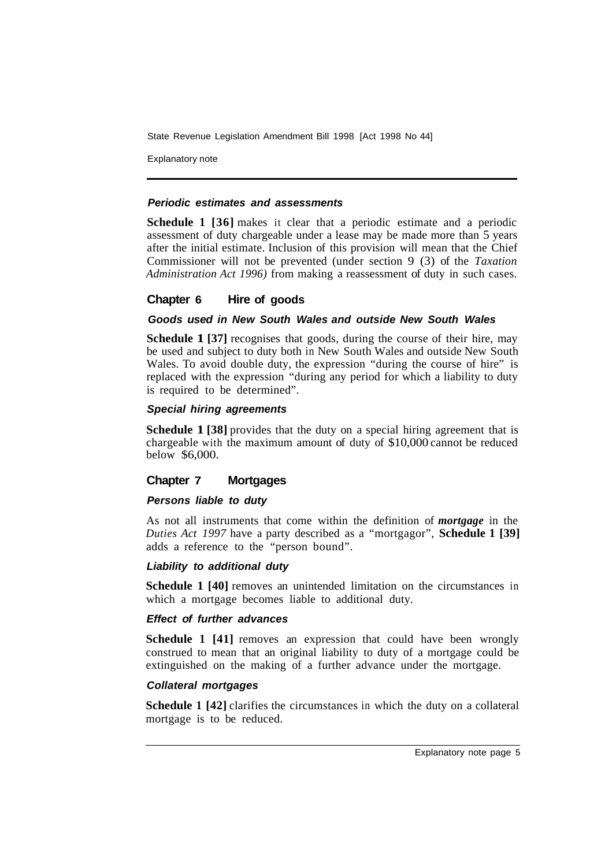Explanatory note

#### *Periodic estimates and assessments*

**Schedule 1 [36]** makes it clear that a periodic estimate and a periodic assessment of duty chargeable under a lease may be made more than 5 years after the initial estimate. Inclusion of this provision will mean that the Chief Commissioner will not be prevented (under section 9 (3) of the *Taxation Administration Act 1996)* from making a reassessment of duty in such cases.

#### **Chapter 6 Hire of goods**

#### *Goods used in New South Wales and outside New South Wales*

**Schedule 1 [37]** recognises that goods, during the course of their hire, may be used and subject to duty both in New South Wales and outside New South Wales. To avoid double duty, the expression "during the course of hire" is replaced with the expression "during any period for which a liability to duty is required to be determined".

#### *Special hiring agreements*

**Schedule 1 [38]** provides that the duty on a special hiring agreement that is chargeable with the maximum amount of duty of \$10,000 cannot be reduced below \$6,000.

#### **Chapter 7 Mortgages**

#### *Persons liable to duty*

As not all instruments that come within the definition of *mortgage* in the *Duties Act 1997* have a party described as a "mortgagor", **Schedule 1 [39]**  adds a reference to the "person bound".

#### *Liability to additional duty*

**Schedule 1 [40] removes an unintended limitation on the circumstances in** which a mortgage becomes liable to additional duty.

#### *Effect of further advances*

**Schedule 1 [41]** removes an expression that could have been wrongly construed to mean that an original liability to duty of a mortgage could be extinguished on the making of a further advance under the mortgage.

#### *Collateral mortgages*

**Schedule 1 [42]** clarifies the circumstances in which the duty on a collateral mortgage is to be reduced.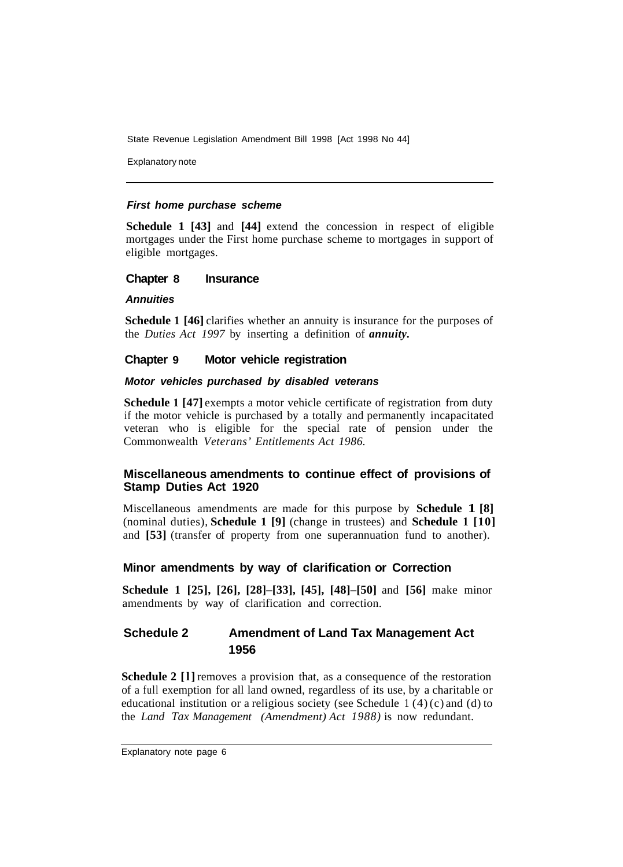Explanatory note

#### *First home purchase scheme*

**Schedule 1 [43]** and **[44]** extend the concession in respect of eligible mortgages under the First home purchase scheme to mortgages in support of eligible mortgages.

#### **Chapter 8 Insurance**

#### *Annuities*

**Schedule 1 [46]** clarifies whether an annuity is insurance for the purposes of the *Duties Act 1997* by inserting a definition of *annuity.* 

#### **Chapter 9 Motor vehicle registration**

#### *Motor vehicles purchased by disabled veterans*

**Schedule 1 [47] exempts a motor vehicle certificate of registration from duty** if the motor vehicle is purchased by a totally and permanently incapacitated veteran who is eligible for the special rate of pension under the Commonwealth *Veterans' Entitlements Act 1986.* 

## **Miscellaneous amendments to continue effect of provisions of Stamp Duties Act 1920**

Miscellaneous amendments are made for this purpose by **Schedule 1 [8]**  (nominal duties), **Schedule 1 [9]** (change in trustees) and **Schedule 1 [10]**  and **[53]** (transfer of property from one superannuation fund to another).

## **Minor amendments by way of clarification or Correction**

**Schedule 1 [25], [26], [28]–[33], [45], [48]–[50]** and **[56]** make minor amendments by way of clarification and correction.

## **Schedule 2 Amendment of Land Tax Management Act 1956**

**Schedule 2** [1] removes a provision that, as a consequence of the restoration of a full exemption for all land owned, regardless of its use, by a charitable or educational institution or a religious society (see Schedule  $1(4)(c)$  and (d) to the *Land Tax Management (Amendment) Act 1988)* is now redundant.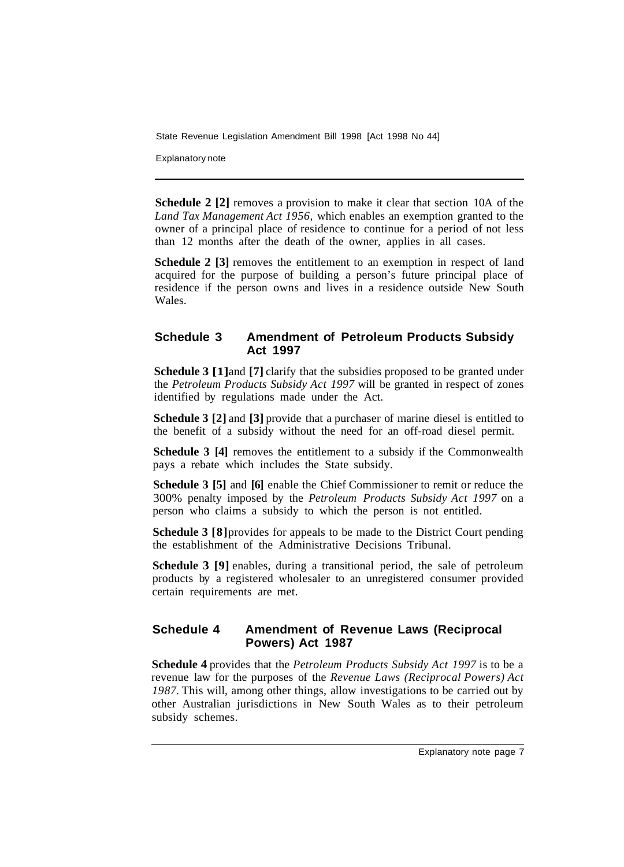Explanatory note

**Schedule 2 [2]** removes a provision to make it clear that section 10A of the *Land Tax Management Act 1956,* which enables an exemption granted to the owner of a principal place of residence to continue for a period of not less than 12 months after the death of the owner, applies in all cases.

**Schedule 2** [3] removes the entitlement to an exemption in respect of land acquired for the purpose of building a person's future principal place of residence if the person owns and lives in a residence outside New South Wales.

## **Schedule 3 Amendment of Petroleum Products Subsidy Act 1997**

**Schedule 3 [1]** and **[7]** clarify that the subsidies proposed to be granted under the *Petroleum Products Subsidy Act 1997* will be granted in respect of zones identified by regulations made under the Act.

**Schedule 3 [2]** and **[3]** provide that a purchaser of marine diesel is entitled to the benefit of a subsidy without the need for an off-road diesel permit.

**Schedule 3 [4]** removes the entitlement to a subsidy if the Commonwealth pays a rebate which includes the State subsidy.

**Schedule 3 [5]** and **[6]** enable the Chief Commissioner to remit or reduce the 300% penalty imposed by the *Petroleum Products Subsidy Act 1997* on a person who claims a subsidy to which the person is not entitled.

**Schedule 3 [8]** provides for appeals to be made to the District Court pending the establishment of the Administrative Decisions Tribunal.

**Schedule 3 [9]** enables, during a transitional period, the sale of petroleum products by a registered wholesaler to an unregistered consumer provided certain requirements are met.

## **Schedule 4 Amendment of Revenue Laws (Reciprocal Powers) Act 1987**

**Schedule 4** provides that the *Petroleum Products Subsidy Act 1997* is to be a revenue law for the purposes of the *Revenue Laws (Reciprocal Powers) Act 1987.* This will, among other things, allow investigations to be carried out by other Australian jurisdictions in New South Wales as to their petroleum subsidy schemes.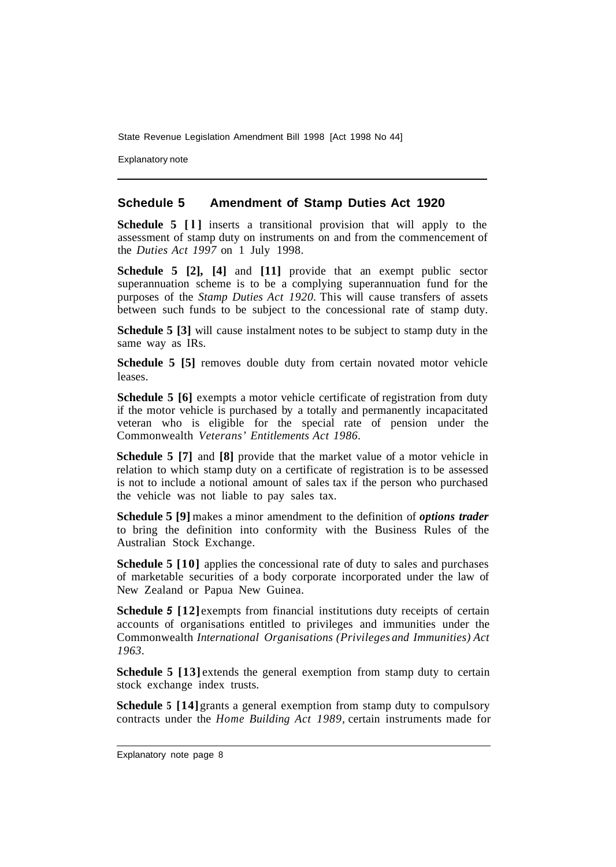Explanatory note

#### **Schedule 5 Amendment of Stamp Duties Act 1920**

**Schedule 5 [l]** inserts a transitional provision that will apply to the assessment of stamp duty on instruments on and from the commencement of the *Duties Act 1997* on 1 July 1998.

**Schedule 5 [2], [4]** and **[11]** provide that an exempt public sector superannuation scheme is to be a complying superannuation fund for the purposes of the *Stamp Duties Act 1920.* This will cause transfers of assets between such funds to be subject to the concessional rate of stamp duty.

**Schedule 5 [3]** will cause instalment notes to be subject to stamp duty in the same way as IRs.

**Schedule 5 [5]** removes double duty from certain novated motor vehicle leases.

**Schedule 5 [6]** exempts a motor vehicle certificate of registration from duty if the motor vehicle is purchased by a totally and permanently incapacitated veteran who is eligible for the special rate of pension under the Commonwealth *Veterans' Entitlements Act 1986.* 

**Schedule 5 [7]** and **[8]** provide that the market value of a motor vehicle in relation to which stamp duty on a certificate of registration is to be assessed is not to include a notional amount of sales tax if the person who purchased the vehicle was not liable to pay sales tax.

**Schedule 5 [9]** makes a minor amendment to the definition of *options trader*  to bring the definition into conformity with the Business Rules of the Australian Stock Exchange.

**Schedule 5 [10]** applies the concessional rate of duty to sales and purchases of marketable securities of a body corporate incorporated under the law of New Zealand or Papua New Guinea.

**Schedule** *5* **[12]** exempts from financial institutions duty receipts of certain accounts of organisations entitled to privileges and immunities under the Commonwealth *International Organisations (Privileges and Immunities) Act 1963.* 

**Schedule 5 [13] extends the general exemption from stamp duty to certain** stock exchange index trusts.

**Schedule 5** [14] grants a general exemption from stamp duty to compulsory contracts under the *Home Building Act 1989,* certain instruments made for

Explanatory note page 8